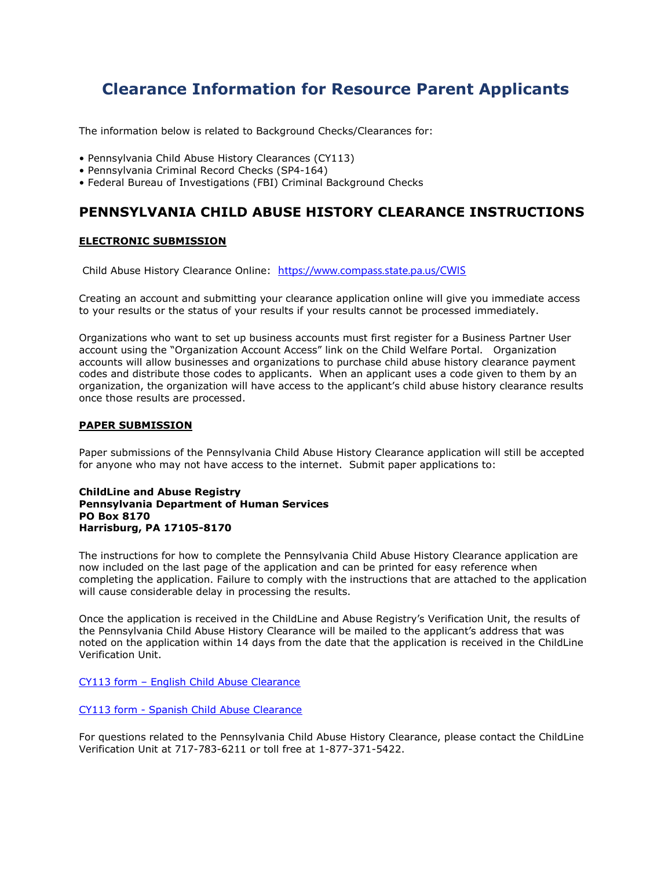# Clearance Information for Resource Parent Applicants

The information below is related to Background Checks/Clearances for:

- Pennsylvania Child Abuse History Clearances (CY113)
- Pennsylvania Criminal Record Checks (SP4-164)
- Federal Bureau of Investigations (FBI) Criminal Background Checks

## PENNSYLVANIA CHILD ABUSE HISTORY CLEARANCE INSTRUCTIONS

#### ELECTRONIC SUBMISSION

Child Abuse History Clearance Online: https://www.compass.state.pa.us/CWIS

Creating an account and submitting your clearance application online will give you immediate access to your results or the status of your results if your results cannot be processed immediately.

Organizations who want to set up business accounts must first register for a Business Partner User account using the "Organization Account Access" link on the Child Welfare Portal. Organization accounts will allow businesses and organizations to purchase child abuse history clearance payment codes and distribute those codes to applicants. When an applicant uses a code given to them by an organization, the organization will have access to the applicant's child abuse history clearance results once those results are processed.

#### PAPER SUBMISSION

Paper submissions of the Pennsylvania Child Abuse History Clearance application will still be accepted for anyone who may not have access to the internet. Submit paper applications to:

#### ChildLine and Abuse Registry Pennsylvania Department of Human Services PO Box 8170 Harrisburg, PA 17105-8170

The instructions for how to complete the Pennsylvania Child Abuse History Clearance application are now included on the last page of the application and can be printed for easy reference when completing the application. Failure to comply with the instructions that are attached to the application will cause considerable delay in processing the results.

Once the application is received in the ChildLine and Abuse Registry's Verification Unit, the results of the Pennsylvania Child Abuse History Clearance will be mailed to the applicant's address that was noted on the application within 14 days from the date that the application is received in the ChildLine Verification Unit.

CY113 form – English Child Abuse Clearance

CY113 form - Spanish Child Abuse Clearance

For questions related to the Pennsylvania Child Abuse History Clearance, please contact the ChildLine Verification Unit at 717-783-6211 or toll free at 1-877-371-5422.